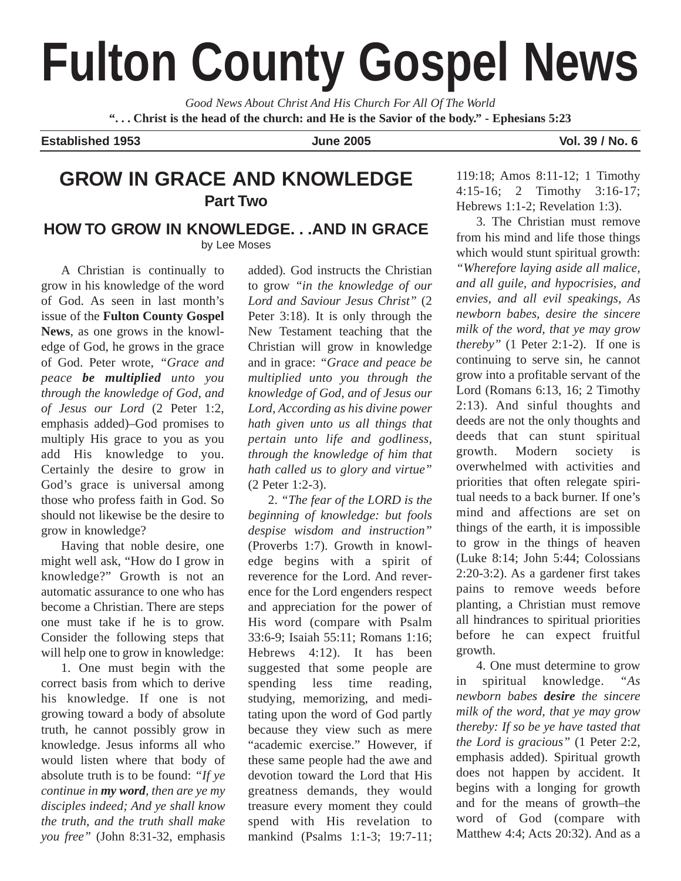# **Fulton County Gospel News**

*Good News About Christ And His Church For All Of The World* **". . . Christ is the head of the church: and He is the Savior of the body." - Ephesians 5:23**

**Established 1953 June 2005 Vol. 39 / No. 6**

# **GROW IN GRACE AND KNOWLEDGE Part Two**

## **HOW TO GROW IN KNOWLEDGE. . .AND IN GRACE** by Lee Moses

A Christian is continually to grow in his knowledge of the word of God. As seen in last month's issue of the **Fulton County Gospel News**, as one grows in the knowledge of God, he grows in the grace of God. Peter wrote, *"Grace and peace be multiplied unto you through the knowledge of God, and of Jesus our Lord* (2 Peter 1:2, emphasis added)–God promises to multiply His grace to you as you add His knowledge to you. Certainly the desire to grow in God's grace is universal among those who profess faith in God. So should not likewise be the desire to grow in knowledge?

Having that noble desire, one might well ask, "How do I grow in knowledge?" Growth is not an automatic assurance to one who has become a Christian. There are steps one must take if he is to grow. Consider the following steps that will help one to grow in knowledge:

1. One must begin with the correct basis from which to derive his knowledge. If one is not growing toward a body of absolute truth, he cannot possibly grow in knowledge. Jesus informs all who would listen where that body of absolute truth is to be found: *"If ye continue in my word, then are ye my disciples indeed; And ye shall know the truth, and the truth shall make you free"* (John 8:31-32, emphasis

added)*.* God instructs the Christian to grow *"in the knowledge of our Lord and Saviour Jesus Christ"* (2 Peter 3:18). It is only through the New Testament teaching that the Christian will grow in knowledge and in grace: *"Grace and peace be multiplied unto you through the knowledge of God, and of Jesus our Lord, According as his divine power hath given unto us all things that pertain unto life and godliness, through the knowledge of him that hath called us to glory and virtue"* (2 Peter 1:2-3).

2. *"The fear of the LORD is the beginning of knowledge: but fools despise wisdom and instruction"* (Proverbs 1:7). Growth in knowledge begins with a spirit of reverence for the Lord. And reverence for the Lord engenders respect and appreciation for the power of His word (compare with Psalm 33:6-9; Isaiah 55:11; Romans 1:16; Hebrews 4:12). It has been suggested that some people are spending less time reading, studying, memorizing, and meditating upon the word of God partly because they view such as mere "academic exercise." However, if these same people had the awe and devotion toward the Lord that His greatness demands, they would treasure every moment they could spend with His revelation to mankind (Psalms 1:1-3; 19:7-11;

119:18; Amos 8:11-12; 1 Timothy 4:15-16; 2 Timothy 3:16-17; Hebrews 1:1-2; Revelation 1:3).

3. The Christian must remove from his mind and life those things which would stunt spiritual growth: *"Wherefore laying aside all malice, and all guile, and hypocrisies, and envies, and all evil speakings, As newborn babes, desire the sincere milk of the word, that ye may grow thereby"* (1 Peter 2:1-2). If one is continuing to serve sin, he cannot grow into a profitable servant of the Lord (Romans 6:13, 16; 2 Timothy 2:13). And sinful thoughts and deeds are not the only thoughts and deeds that can stunt spiritual growth. Modern society is overwhelmed with activities and priorities that often relegate spiritual needs to a back burner. If one's mind and affections are set on things of the earth, it is impossible to grow in the things of heaven (Luke 8:14; John 5:44; Colossians 2:20-3:2). As a gardener first takes pains to remove weeds before planting, a Christian must remove all hindrances to spiritual priorities before he can expect fruitful growth.

4. One must determine to grow in spiritual knowledge. *"As newborn babes desire the sincere milk of the word, that ye may grow thereby: If so be ye have tasted that the Lord is gracious"* (1 Peter 2:2, emphasis added). Spiritual growth does not happen by accident. It begins with a longing for growth and for the means of growth–the word of God (compare with Matthew 4:4; Acts 20:32). And as a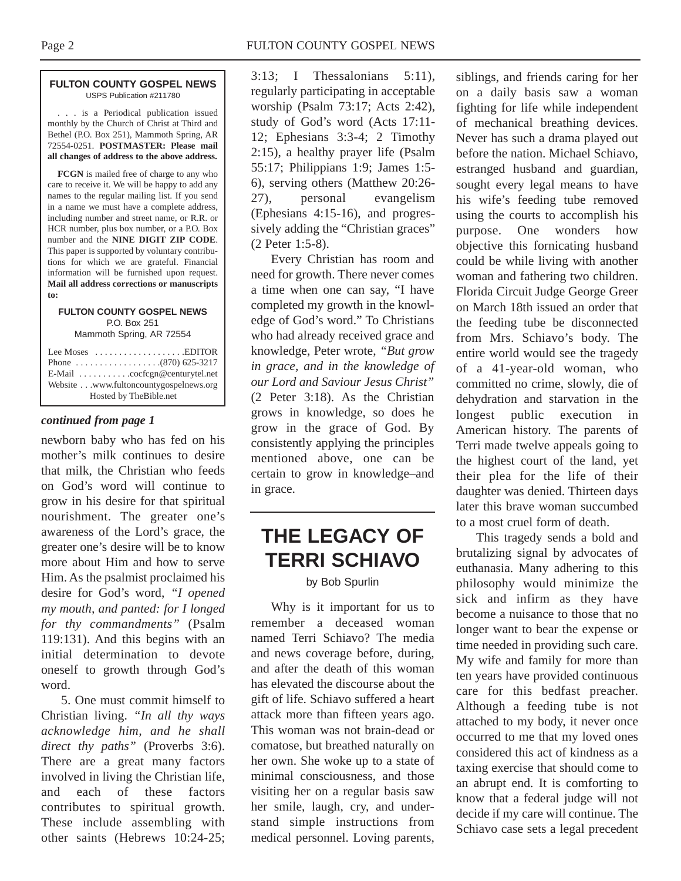#### **FULTON COUNTY GOSPEL NEWS** USPS Publication #211780

. . . is a Periodical publication issued monthly by the Church of Christ at Third and Bethel (P.O. Box 251), Mammoth Spring, AR 72554-0251. **POSTMASTER: Please mail all changes of address to the above address.**

**FCGN** is mailed free of charge to any who care to receive it. We will be happy to add any names to the regular mailing list. If you send in a name we must have a complete address, including number and street name, or R.R. or HCR number, plus box number, or a P.O. Box number and the **NINE DIGIT ZIP CODE**. This paper is supported by voluntary contributions for which we are grateful. Financial information will be furnished upon request. **Mail all address corrections or manuscripts to:**

#### **FULTON COUNTY GOSPEL NEWS** P.O. Box 251

Mammoth Spring, AR 72554

| Lee Moses $\dots\dots\dots\dots\dots\dots$ . EDITOR    |
|--------------------------------------------------------|
|                                                        |
| E-Mail $\ldots \ldots \ldots$ . cocfcgn@centurytel.net |
| Website www.fultoncountygospelnews.org                 |
| Hosted by TheBible.net                                 |

#### *continued from page 1*

newborn baby who has fed on his mother's milk continues to desire that milk, the Christian who feeds on God's word will continue to grow in his desire for that spiritual nourishment. The greater one's awareness of the Lord's grace, the greater one's desire will be to know more about Him and how to serve Him. As the psalmist proclaimed his desire for God's word, *"I opened my mouth, and panted: for I longed for thy commandments"* (Psalm 119:131). And this begins with an initial determination to devote oneself to growth through God's word.

5. One must commit himself to Christian living. *"In all thy ways acknowledge him, and he shall direct thy paths"* (Proverbs 3:6). There are a great many factors involved in living the Christian life, and each of these factors contributes to spiritual growth. These include assembling with other saints (Hebrews 10:24-25; 3:13; I Thessalonians 5:11), regularly participating in acceptable worship (Psalm 73:17; Acts 2:42), study of God's word (Acts 17:11- 12; Ephesians 3:3-4; 2 Timothy 2:15), a healthy prayer life (Psalm 55:17; Philippians 1:9; James 1:5- 6), serving others (Matthew 20:26- 27), personal evangelism (Ephesians 4:15-16), and progressively adding the "Christian graces" (2 Peter 1:5-8).

Every Christian has room and need for growth. There never comes a time when one can say, "I have completed my growth in the knowledge of God's word." To Christians who had already received grace and knowledge, Peter wrote, *"But grow in grace, and in the knowledge of our Lord and Saviour Jesus Christ"* (2 Peter 3:18). As the Christian grows in knowledge, so does he grow in the grace of God. By consistently applying the principles mentioned above, one can be certain to grow in knowledge–and in grace.

# **THE LEGACY OF TERRI SCHIAVO**

by Bob Spurlin

Why is it important for us to remember a deceased woman named Terri Schiavo? The media and news coverage before, during, and after the death of this woman has elevated the discourse about the gift of life. Schiavo suffered a heart attack more than fifteen years ago. This woman was not brain-dead or comatose, but breathed naturally on her own. She woke up to a state of minimal consciousness, and those visiting her on a regular basis saw her smile, laugh, cry, and understand simple instructions from medical personnel. Loving parents,

siblings, and friends caring for her on a daily basis saw a woman fighting for life while independent of mechanical breathing devices. Never has such a drama played out before the nation. Michael Schiavo, estranged husband and guardian, sought every legal means to have his wife's feeding tube removed using the courts to accomplish his purpose. One wonders how objective this fornicating husband could be while living with another woman and fathering two children. Florida Circuit Judge George Greer on March 18th issued an order that the feeding tube be disconnected from Mrs. Schiavo's body. The entire world would see the tragedy of a 41-year-old woman, who committed no crime, slowly, die of dehydration and starvation in the longest public execution in American history. The parents of Terri made twelve appeals going to the highest court of the land, yet their plea for the life of their daughter was denied. Thirteen days later this brave woman succumbed to a most cruel form of death.

This tragedy sends a bold and brutalizing signal by advocates of euthanasia. Many adhering to this philosophy would minimize the sick and infirm as they have become a nuisance to those that no longer want to bear the expense or time needed in providing such care. My wife and family for more than ten years have provided continuous care for this bedfast preacher. Although a feeding tube is not attached to my body, it never once occurred to me that my loved ones considered this act of kindness as a taxing exercise that should come to an abrupt end. It is comforting to know that a federal judge will not decide if my care will continue. The Schiavo case sets a legal precedent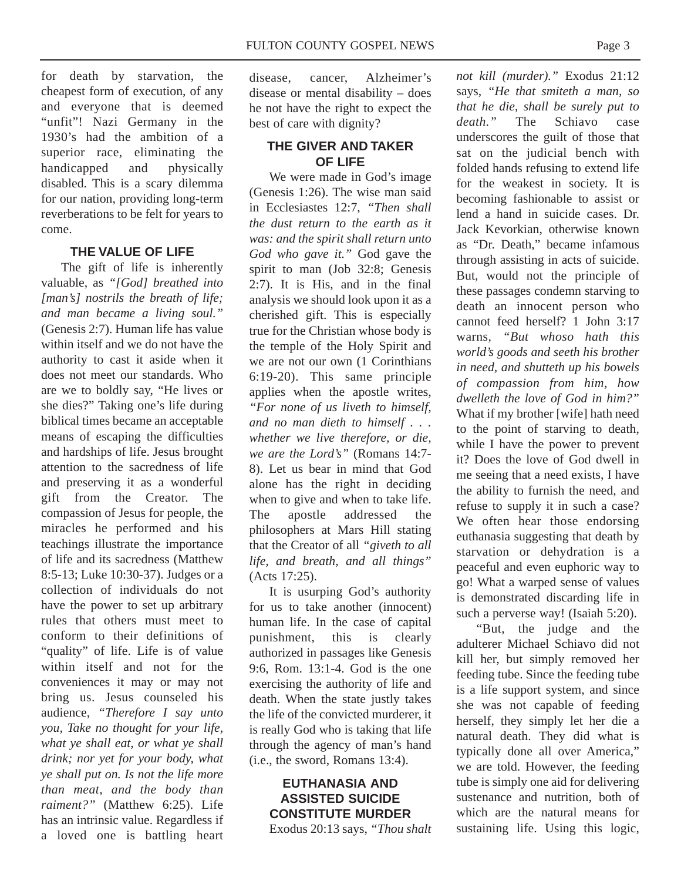for death by starvation, the cheapest form of execution, of any and everyone that is deemed "unfit"! Nazi Germany in the 1930's had the ambition of a superior race, eliminating the handicapped and physically disabled. This is a scary dilemma for our nation, providing long-term reverberations to be felt for years to come.

# **THE VALUE OF LIFE**

The gift of life is inherently valuable, as *"[God] breathed into [man's] nostrils the breath of life; and man became a living soul."* (Genesis 2:7). Human life has value within itself and we do not have the authority to cast it aside when it does not meet our standards. Who are we to boldly say, "He lives or she dies?" Taking one's life during biblical times became an acceptable means of escaping the difficulties and hardships of life. Jesus brought attention to the sacredness of life and preserving it as a wonderful gift from the Creator. The compassion of Jesus for people, the miracles he performed and his teachings illustrate the importance of life and its sacredness (Matthew 8:5-13; Luke 10:30-37). Judges or a collection of individuals do not have the power to set up arbitrary rules that others must meet to conform to their definitions of "quality" of life. Life is of value within itself and not for the conveniences it may or may not bring us. Jesus counseled his audience, *"Therefore I say unto you, Take no thought for your life, what ye shall eat, or what ye shall drink; nor yet for your body, what ye shall put on. Is not the life more than meat, and the body than raiment?"* (Matthew 6:25). Life has an intrinsic value. Regardless if a loved one is battling heart

disease, cancer, Alzheimer's disease or mental disability – does he not have the right to expect the best of care with dignity?

## **THE GIVER AND TAKER OF LIFE**

We were made in God's image (Genesis 1:26). The wise man said in Ecclesiastes 12:7, *"Then shall the dust return to the earth as it was: and the spirit shall return unto God who gave it."* God gave the spirit to man (Job 32:8; Genesis 2:7). It is His, and in the final analysis we should look upon it as a cherished gift. This is especially true for the Christian whose body is the temple of the Holy Spirit and we are not our own (1 Corinthians 6:19-20). This same principle applies when the apostle writes, *"For none of us liveth to himself, and no man dieth to himself . . . whether we live therefore, or die, we are the Lord's"* (Romans 14:7- 8). Let us bear in mind that God alone has the right in deciding when to give and when to take life. The apostle addressed the philosophers at Mars Hill stating that the Creator of all *"giveth to all life, and breath, and all things"* (Acts 17:25).

It is usurping God's authority for us to take another (innocent) human life. In the case of capital punishment, this is clearly authorized in passages like Genesis 9:6, Rom. 13:1-4. God is the one exercising the authority of life and death. When the state justly takes the life of the convicted murderer, it is really God who is taking that life through the agency of man's hand (i.e., the sword, Romans 13:4).

## **EUTHANASIA AND ASSISTED SUICIDE CONSTITUTE MURDER** Exodus 20:13 says, *"Thou shalt*

*not kill (murder)."* Exodus 21:12 says, *"He that smiteth a man, so that he die, shall be surely put to death."* The Schiavo case underscores the guilt of those that sat on the judicial bench with folded hands refusing to extend life for the weakest in society. It is becoming fashionable to assist or lend a hand in suicide cases. Dr. Jack Kevorkian, otherwise known as "Dr. Death," became infamous through assisting in acts of suicide. But, would not the principle of these passages condemn starving to death an innocent person who cannot feed herself? 1 John 3:17 warns, *"But whoso hath this world's goods and seeth his brother in need, and shutteth up his bowels of compassion from him, how dwelleth the love of God in him?"* What if my brother [wife] hath need to the point of starving to death, while I have the power to prevent it? Does the love of God dwell in me seeing that a need exists, I have the ability to furnish the need, and refuse to supply it in such a case? We often hear those endorsing euthanasia suggesting that death by starvation or dehydration is a peaceful and even euphoric way to go! What a warped sense of values is demonstrated discarding life in such a perverse way! (Isaiah 5:20).

"But, the judge and the adulterer Michael Schiavo did not kill her, but simply removed her feeding tube. Since the feeding tube is a life support system, and since she was not capable of feeding herself, they simply let her die a natural death. They did what is typically done all over America," we are told. However, the feeding tube is simply one aid for delivering sustenance and nutrition, both of which are the natural means for sustaining life. Using this logic,